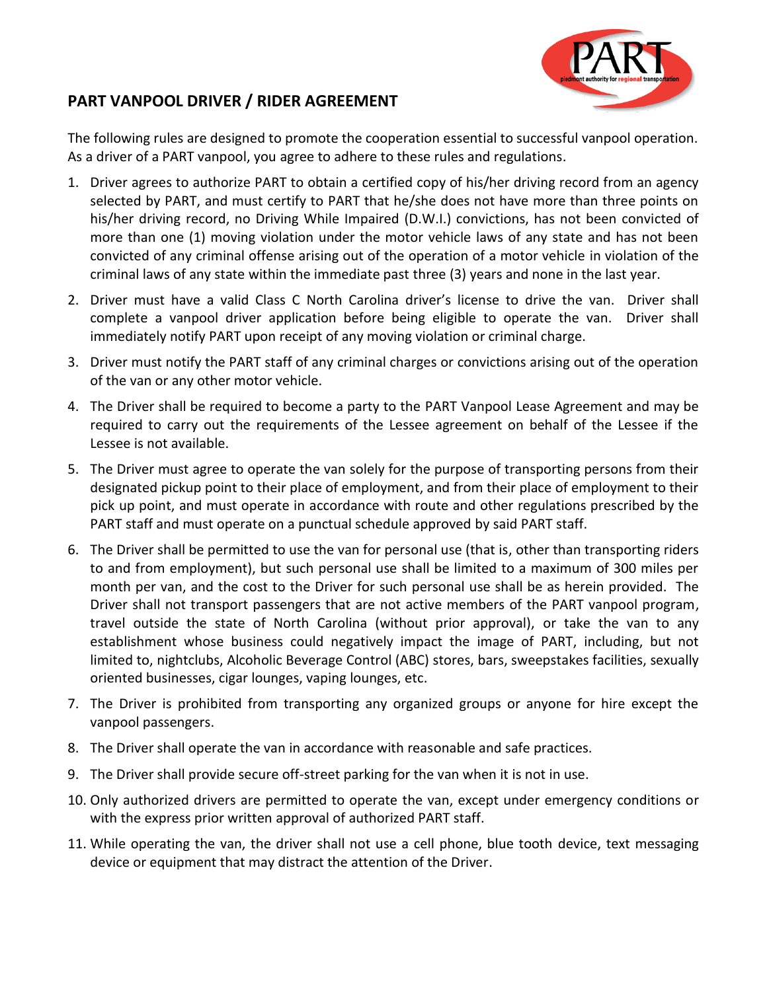

## **PART VANPOOL DRIVER / RIDER AGREEMENT**

The following rules are designed to promote the cooperation essential to successful vanpool operation. As a driver of a PART vanpool, you agree to adhere to these rules and regulations.

- 1. Driver agrees to authorize PART to obtain a certified copy of his/her driving record from an agency selected by PART, and must certify to PART that he/she does not have more than three points on his/her driving record, no Driving While Impaired (D.W.I.) convictions, has not been convicted of more than one (1) moving violation under the motor vehicle laws of any state and has not been convicted of any criminal offense arising out of the operation of a motor vehicle in violation of the criminal laws of any state within the immediate past three (3) years and none in the last year.
- 2. Driver must have a valid Class C North Carolina driver's license to drive the van. Driver shall complete a vanpool driver application before being eligible to operate the van. Driver shall immediately notify PART upon receipt of any moving violation or criminal charge.
- 3. Driver must notify the PART staff of any criminal charges or convictions arising out of the operation of the van or any other motor vehicle.
- 4. The Driver shall be required to become a party to the PART Vanpool Lease Agreement and may be required to carry out the requirements of the Lessee agreement on behalf of the Lessee if the Lessee is not available.
- 5. The Driver must agree to operate the van solely for the purpose of transporting persons from their designated pickup point to their place of employment, and from their place of employment to their pick up point, and must operate in accordance with route and other regulations prescribed by the PART staff and must operate on a punctual schedule approved by said PART staff.
- 6. The Driver shall be permitted to use the van for personal use (that is, other than transporting riders to and from employment), but such personal use shall be limited to a maximum of 300 miles per month per van, and the cost to the Driver for such personal use shall be as herein provided. The Driver shall not transport passengers that are not active members of the PART vanpool program, travel outside the state of North Carolina (without prior approval), or take the van to any establishment whose business could negatively impact the image of PART, including, but not limited to, nightclubs, Alcoholic Beverage Control (ABC) stores, bars, sweepstakes facilities, sexually oriented businesses, cigar lounges, vaping lounges, etc.
- 7. The Driver is prohibited from transporting any organized groups or anyone for hire except the vanpool passengers.
- 8. The Driver shall operate the van in accordance with reasonable and safe practices.
- 9. The Driver shall provide secure off-street parking for the van when it is not in use.
- 10. Only authorized drivers are permitted to operate the van, except under emergency conditions or with the express prior written approval of authorized PART staff.
- 11. While operating the van, the driver shall not use a cell phone, blue tooth device, text messaging device or equipment that may distract the attention of the Driver.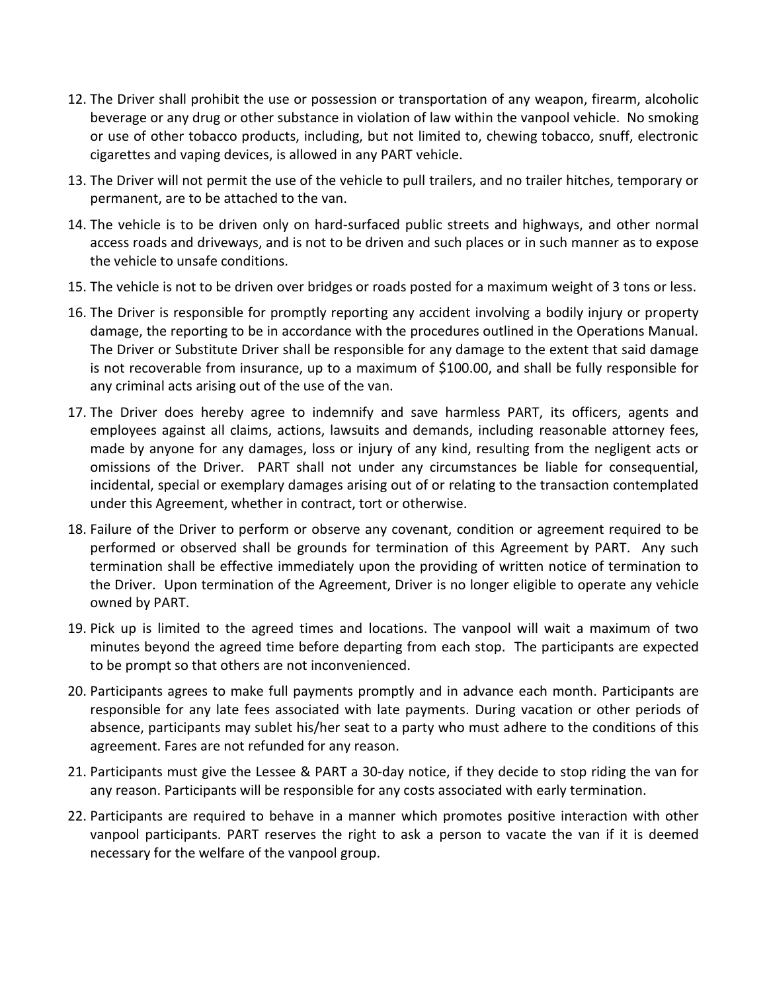- 12. The Driver shall prohibit the use or possession or transportation of any weapon, firearm, alcoholic beverage or any drug or other substance in violation of law within the vanpool vehicle. No smoking or use of other tobacco products, including, but not limited to, chewing tobacco, snuff, electronic cigarettes and vaping devices, is allowed in any PART vehicle.
- 13. The Driver will not permit the use of the vehicle to pull trailers, and no trailer hitches, temporary or permanent, are to be attached to the van.
- 14. The vehicle is to be driven only on hard-surfaced public streets and highways, and other normal access roads and driveways, and is not to be driven and such places or in such manner as to expose the vehicle to unsafe conditions.
- 15. The vehicle is not to be driven over bridges or roads posted for a maximum weight of 3 tons or less.
- 16. The Driver is responsible for promptly reporting any accident involving a bodily injury or property damage, the reporting to be in accordance with the procedures outlined in the Operations Manual. The Driver or Substitute Driver shall be responsible for any damage to the extent that said damage is not recoverable from insurance, up to a maximum of \$100.00, and shall be fully responsible for any criminal acts arising out of the use of the van.
- 17. The Driver does hereby agree to indemnify and save harmless PART, its officers, agents and employees against all claims, actions, lawsuits and demands, including reasonable attorney fees, made by anyone for any damages, loss or injury of any kind, resulting from the negligent acts or omissions of the Driver. PART shall not under any circumstances be liable for consequential, incidental, special or exemplary damages arising out of or relating to the transaction contemplated under this Agreement, whether in contract, tort or otherwise.
- 18. Failure of the Driver to perform or observe any covenant, condition or agreement required to be performed or observed shall be grounds for termination of this Agreement by PART. Any such termination shall be effective immediately upon the providing of written notice of termination to the Driver. Upon termination of the Agreement, Driver is no longer eligible to operate any vehicle owned by PART.
- 19. Pick up is limited to the agreed times and locations. The vanpool will wait a maximum of two minutes beyond the agreed time before departing from each stop. The participants are expected to be prompt so that others are not inconvenienced.
- 20. Participants agrees to make full payments promptly and in advance each month. Participants are responsible for any late fees associated with late payments. During vacation or other periods of absence, participants may sublet his/her seat to a party who must adhere to the conditions of this agreement. Fares are not refunded for any reason.
- 21. Participants must give the Lessee & PART a 30-day notice, if they decide to stop riding the van for any reason. Participants will be responsible for any costs associated with early termination.
- 22. Participants are required to behave in a manner which promotes positive interaction with other vanpool participants. PART reserves the right to ask a person to vacate the van if it is deemed necessary for the welfare of the vanpool group.